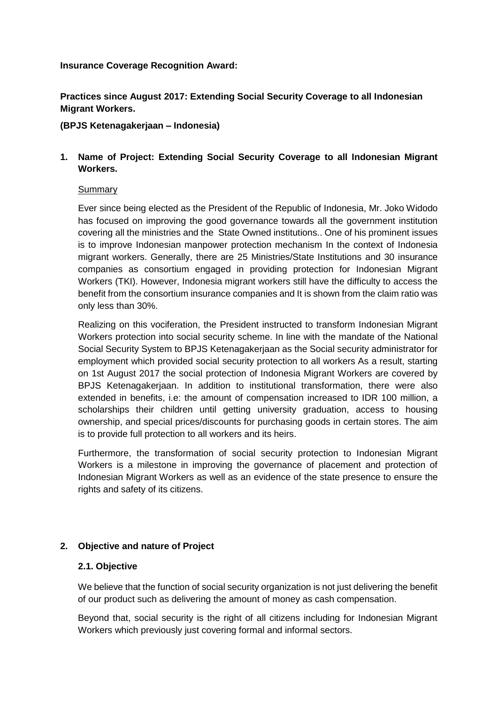### **Insurance Coverage Recognition Award:**

**Practices since August 2017: Extending Social Security Coverage to all Indonesian Migrant Workers.** 

### **(BPJS Ketenagakerjaan – Indonesia)**

# **1. Name of Project: Extending Social Security Coverage to all Indonesian Migrant Workers.**

### Summary

Ever since being elected as the President of the Republic of Indonesia, Mr. Joko Widodo has focused on improving the good governance towards all the government institution covering all the ministries and the State Owned institutions.. One of his prominent issues is to improve Indonesian manpower protection mechanism In the context of Indonesia migrant workers. Generally, there are 25 Ministries/State Institutions and 30 insurance companies as consortium engaged in providing protection for Indonesian Migrant Workers (TKI). However, Indonesia migrant workers still have the difficulty to access the benefit from the consortium insurance companies and It is shown from the claim ratio was only less than 30%.

Realizing on this vociferation, the President instructed to transform Indonesian Migrant Workers protection into social security scheme. In line with the mandate of the National Social Security System to BPJS Ketenagakerjaan as the Social security administrator for employment which provided social security protection to all workers As a result, starting on 1st August 2017 the social protection of Indonesia Migrant Workers are covered by BPJS Ketenagakerjaan. In addition to institutional transformation, there were also extended in benefits, i.e: the amount of compensation increased to IDR 100 million, a scholarships their children until getting university graduation, access to housing ownership, and special prices/discounts for purchasing goods in certain stores. The aim is to provide full protection to all workers and its heirs.

Furthermore, the transformation of social security protection to Indonesian Migrant Workers is a milestone in improving the governance of placement and protection of Indonesian Migrant Workers as well as an evidence of the state presence to ensure the rights and safety of its citizens.

### **2. Objective and nature of Project**

### **2.1. Objective**

We believe that the function of social security organization is not just delivering the benefit of our product such as delivering the amount of money as cash compensation.

Beyond that, social security is the right of all citizens including for Indonesian Migrant Workers which previously just covering formal and informal sectors.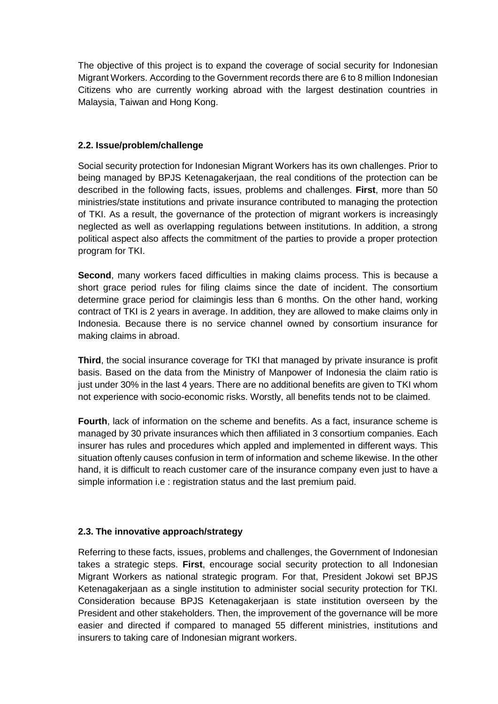The objective of this project is to expand the coverage of social security for Indonesian Migrant Workers. According to the Government records there are 6 to 8 million Indonesian Citizens who are currently working abroad with the largest destination countries in Malaysia, Taiwan and Hong Kong.

## **2.2. Issue/problem/challenge**

Social security protection for Indonesian Migrant Workers has its own challenges. Prior to being managed by BPJS Ketenagakerjaan, the real conditions of the protection can be described in the following facts, issues, problems and challenges. **First**, more than 50 ministries/state institutions and private insurance contributed to managing the protection of TKI. As a result, the governance of the protection of migrant workers is increasingly neglected as well as overlapping regulations between institutions. In addition, a strong political aspect also affects the commitment of the parties to provide a proper protection program for TKI.

**Second**, many workers faced difficulties in making claims process. This is because a short grace period rules for filing claims since the date of incident. The consortium determine grace period for claimingis less than 6 months. On the other hand, working contract of TKI is 2 years in average. In addition, they are allowed to make claims only in Indonesia. Because there is no service channel owned by consortium insurance for making claims in abroad.

**Third**, the social insurance coverage for TKI that managed by private insurance is profit basis. Based on the data from the Ministry of Manpower of Indonesia the claim ratio is just under 30% in the last 4 years. There are no additional benefits are given to TKI whom not experience with socio-economic risks. Worstly, all benefits tends not to be claimed.

**Fourth**, lack of information on the scheme and benefits. As a fact, insurance scheme is managed by 30 private insurances which then affiliated in 3 consortium companies. Each insurer has rules and procedures which appled and implemented in different ways. This situation oftenly causes confusion in term of information and scheme likewise. In the other hand, it is difficult to reach customer care of the insurance company even just to have a simple information i.e : registration status and the last premium paid.

### **2.3. The innovative approach/strategy**

Referring to these facts, issues, problems and challenges, the Government of Indonesian takes a strategic steps. **First**, encourage social security protection to all Indonesian Migrant Workers as national strategic program. For that, President Jokowi set BPJS Ketenagakerjaan as a single institution to administer social security protection for TKI. Consideration because BPJS Ketenagakerjaan is state institution overseen by the President and other stakeholders. Then, the improvement of the governance will be more easier and directed if compared to managed 55 different ministries, institutions and insurers to taking care of Indonesian migrant workers.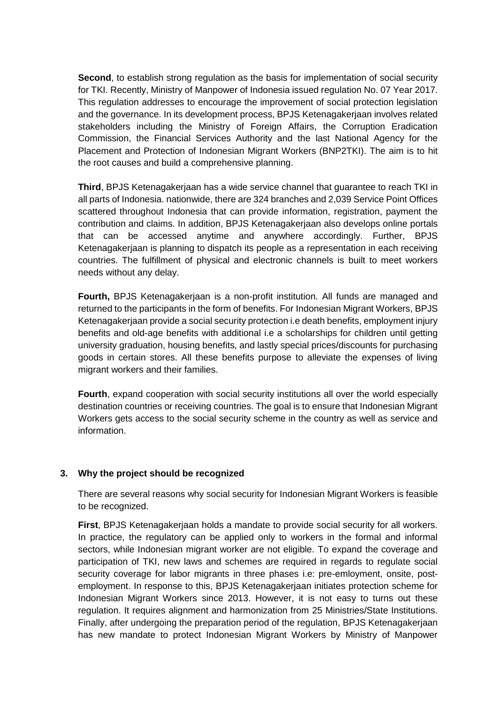**Second**, to establish strong regulation as the basis for implementation of social security for TKI. Recently, Ministry of Manpower of Indonesia issued regulation No. 07 Year 2017. This regulation addresses to encourage the improvement of social protection legislation and the governance. In its development process, BPJS Ketenagakerjaan involves related stakeholders including the Ministry of Foreign Affairs, the Corruption Eradication Commission, the Financial Services Authority and the last National Agency for the Placement and Protection of Indonesian Migrant Workers (BNP2TKI). The aim is to hit the root causes and build a comprehensive planning.

**Third**, BPJS Ketenagakerjaan has a wide service channel that guarantee to reach TKI in all parts of Indonesia. nationwide, there are 324 branches and 2,039 Service Point Offices scattered throughout Indonesia that can provide information, registration, payment the contribution and claims. In addition, BPJS Ketenagakerjaan also develops online portals that can be accessed anytime and anywhere accordingly. Further, BPJS Ketenagakerjaan is planning to dispatch its people as a representation in each receiving countries. The fulfillment of physical and electronic channels is built to meet workers needs without any delay.

**Fourth,** BPJS Ketenagakerjaan is a non-profit institution. All funds are managed and returned to the participants in the form of benefits. For Indonesian Migrant Workers, BPJS Ketenagakerjaan provide a social security protection i.e death benefits, employment injury benefits and old-age benefits with additional i.e a scholarships for children until getting university graduation, housing benefits, and lastly special prices/discounts for purchasing goods in certain stores. All these benefits purpose to alleviate the expenses of living migrant workers and their families.

**Fourth**, expand cooperation with social security institutions all over the world especially destination countries or receiving countries. The goal is to ensure that Indonesian Migrant Workers gets access to the social security scheme in the country as well as service and information.

### **3. Why the project should be recognized**

There are several reasons why social security for Indonesian Migrant Workers is feasible to be recognized.

**First**, BPJS Ketenagakerjaan holds a mandate to provide social security for all workers. In practice, the regulatory can be applied only to workers in the formal and informal sectors, while Indonesian migrant worker are not eligible. To expand the coverage and participation of TKI, new laws and schemes are required in regards to regulate social security coverage for labor migrants in three phases i.e: pre-emloyment, onsite, postemployment. In response to this, BPJS Ketenagakerjaan initiates protection scheme for Indonesian Migrant Workers since 2013. However, it is not easy to turns out these regulation. It requires alignment and harmonization from 25 Ministries/State Institutions. Finally, after undergoing the preparation period of the regulation, BPJS Ketenagakerjaan has new mandate to protect Indonesian Migrant Workers by Ministry of Manpower